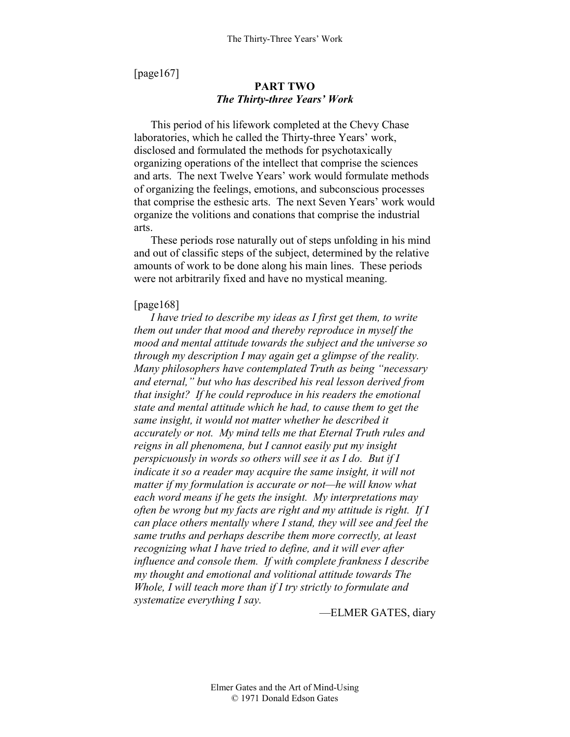[page167]

## **PART TWO**  *The Thirty-three Years' Work*

This period of his lifework completed at the Chevy Chase laboratories, which he called the Thirty-three Years' work, disclosed and formulated the methods for psychotaxically organizing operations of the intellect that comprise the sciences and arts. The next Twelve Years' work would formulate methods of organizing the feelings, emotions, and subconscious processes that comprise the esthesic arts. The next Seven Years' work would organize the volitions and conations that comprise the industrial arts.

These periods rose naturally out of steps unfolding in his mind and out of classific steps of the subject, determined by the relative amounts of work to be done along his main lines. These periods were not arbitrarily fixed and have no mystical meaning.

#### [page168]

*I have tried to describe my ideas as I first get them, to write them out under that mood and thereby reproduce in myself the mood and mental attitude towards the subject and the universe so through my description I may again get a glimpse of the reality. Many philosophers have contemplated Truth as being "necessary and eternal," but who has described his real lesson derived from that insight? If he could reproduce in his readers the emotional state and mental attitude which he had, to cause them to get the same insight, it would not matter whether he described it accurately or not. My mind tells me that Eternal Truth rules and reigns in all phenomena, but I cannot easily put my insight perspicuously in words so others will see it as I do. But if I indicate it so a reader may acquire the same insight, it will not matter if my formulation is accurate or not—he will know what each word means if he gets the insight. My interpretations may often be wrong but my facts are right and my attitude is right. If I can place others mentally where I stand, they will see and feel the same truths and perhaps describe them more correctly, at least recognizing what I have tried to define, and it will ever after influence and console them. If with complete frankness I describe my thought and emotional and volitional attitude towards The Whole, I will teach more than if I try strictly to formulate and systematize everything I say.* 

—ELMER GATES, diary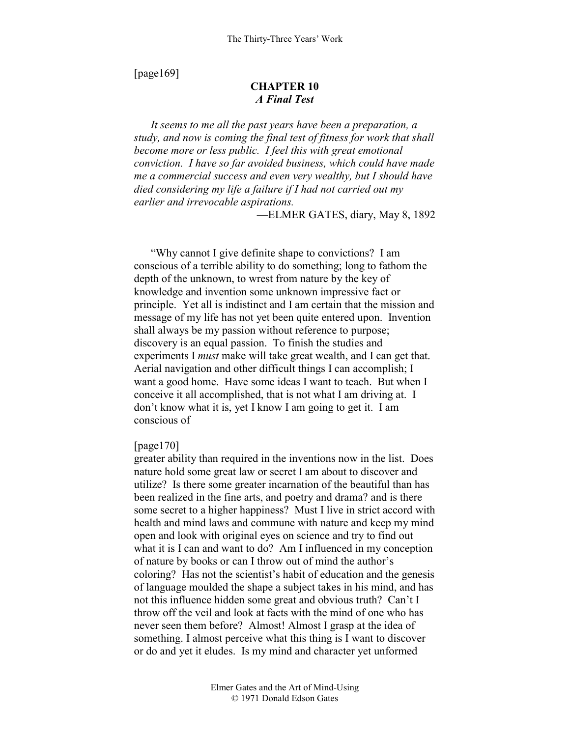[page169]

# **CHAPTER 10**  *A Final Test*

*It seems to me all the past years have been a preparation, a study, and now is coming the final test of fitness for work that shall become more or less public. I feel this with great emotional conviction. I have so far avoided business, which could have made me a commercial success and even very wealthy, but I should have died considering my life a failure if I had not carried out my earlier and irrevocable aspirations.* 

—ELMER GATES, diary, May 8, 1892

"Why cannot I give definite shape to convictions? I am conscious of a terrible ability to do something; long to fathom the depth of the unknown, to wrest from nature by the key of knowledge and invention some unknown impressive fact or principle. Yet all is indistinct and I am certain that the mission and message of my life has not yet been quite entered upon. Invention shall always be my passion without reference to purpose; discovery is an equal passion. To finish the studies and experiments I *must* make will take great wealth, and I can get that. Aerial navigation and other difficult things I can accomplish; I want a good home. Have some ideas I want to teach. But when I conceive it all accomplished, that is not what I am driving at. I don't know what it is, yet I know I am going to get it. I am conscious of

## [page170]

greater ability than required in the inventions now in the list. Does nature hold some great law or secret I am about to discover and utilize? Is there some greater incarnation of the beautiful than has been realized in the fine arts, and poetry and drama? and is there some secret to a higher happiness? Must I live in strict accord with health and mind laws and commune with nature and keep my mind open and look with original eyes on science and try to find out what it is I can and want to do? Am I influenced in my conception of nature by books or can I throw out of mind the author's coloring? Has not the scientist's habit of education and the genesis of language moulded the shape a subject takes in his mind, and has not this influence hidden some great and obvious truth? Can't I throw off the veil and look at facts with the mind of one who has never seen them before? Almost! Almost I grasp at the idea of something. I almost perceive what this thing is I want to discover or do and yet it eludes. Is my mind and character yet unformed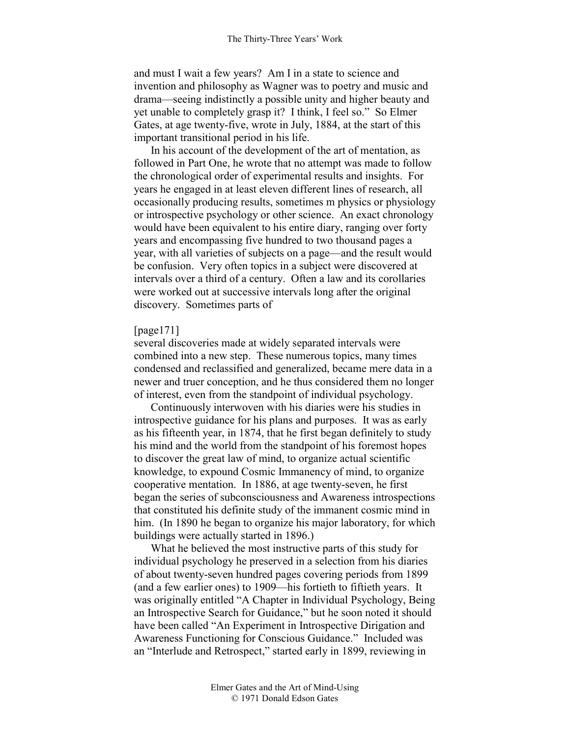and must I wait a few years? Am I in a state to science and invention and philosophy as Wagner was to poetry and music and drama—seeing indistinctly a possible unity and higher beauty and yet unable to completely grasp it? I think, I feel so." So Elmer Gates, at age twenty-five, wrote in July, 1884, at the start of this important transitional period in his life.

In his account of the development of the art of mentation, as followed in Part One, he wrote that no attempt was made to follow the chronological order of experimental results and insights. For years he engaged in at least eleven different lines of research, all occasionally producing results, sometimes m physics or physiology or introspective psychology or other science. An exact chronology would have been equivalent to his entire diary, ranging over forty years and encompassing five hundred to two thousand pages a year, with all varieties of subjects on a page—and the result would be confusion. Very often topics in a subject were discovered at intervals over a third of a century. Often a law and its corollaries were worked out at successive intervals long after the original discovery. Sometimes parts of

#### [page171]

several discoveries made at widely separated intervals were combined into a new step. These numerous topics, many times condensed and reclassified and generalized, became mere data in a newer and truer conception, and he thus considered them no longer of interest, even from the standpoint of individual psychology.

Continuously interwoven with his diaries were his studies in introspective guidance for his plans and purposes. It was as early as his fifteenth year, in 1874, that he first began definitely to study his mind and the world from the standpoint of his foremost hopes to discover the great law of mind, to organize actual scientific knowledge, to expound Cosmic Immanency of mind, to organize cooperative mentation. In 1886, at age twenty-seven, he first began the series of subconsciousness and Awareness introspections that constituted his definite study of the immanent cosmic mind in him. (In 1890 he began to organize his major laboratory, for which buildings were actually started in 1896.)

What he believed the most instructive parts of this study for individual psychology he preserved in a selection from his diaries of about twenty-seven hundred pages covering periods from 1899 (and a few earlier ones) to 1909—his fortieth to fiftieth years. It was originally entitled "A Chapter in Individual Psychology, Being an Introspective Search for Guidance," but he soon noted it should have been called "An Experiment in Introspective Dirigation and Awareness Functioning for Conscious Guidance." Included was an "Interlude and Retrospect," started early in 1899, reviewing in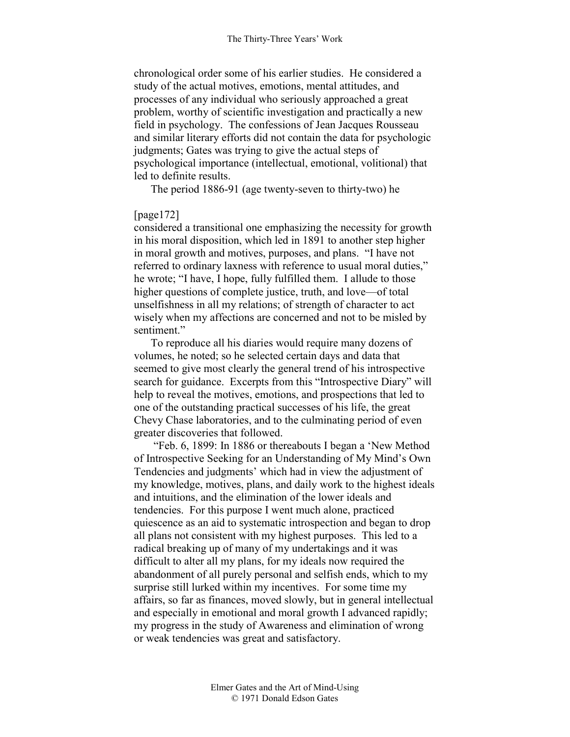chronological order some of his earlier studies. He considered a study of the actual motives, emotions, mental attitudes, and processes of any individual who seriously approached a great problem, worthy of scientific investigation and practically a new field in psychology. The confessions of Jean Jacques Rousseau and similar literary efforts did not contain the data for psychologic judgments; Gates was trying to give the actual steps of psychological importance (intellectual, emotional, volitional) that led to definite results.

The period 1886-91 (age twenty-seven to thirty-two) he

#### [page172]

considered a transitional one emphasizing the necessity for growth in his moral disposition, which led in 1891 to another step higher in moral growth and motives, purposes, and plans. "I have not referred to ordinary laxness with reference to usual moral duties," he wrote; "I have, I hope, fully fulfilled them. I allude to those higher questions of complete justice, truth, and love—of total unselfishness in all my relations; of strength of character to act wisely when my affections are concerned and not to be misled by sentiment"

To reproduce all his diaries would require many dozens of volumes, he noted; so he selected certain days and data that seemed to give most clearly the general trend of his introspective search for guidance. Excerpts from this "Introspective Diary" will help to reveal the motives, emotions, and prospections that led to one of the outstanding practical successes of his life, the great Chevy Chase laboratories, and to the culminating period of even greater discoveries that followed.

 "Feb. 6, 1899: In 1886 or thereabouts I began a 'New Method of Introspective Seeking for an Understanding of My Mind's Own Tendencies and judgments' which had in view the adjustment of my knowledge, motives, plans, and daily work to the highest ideals and intuitions, and the elimination of the lower ideals and tendencies. For this purpose I went much alone, practiced quiescence as an aid to systematic introspection and began to drop all plans not consistent with my highest purposes. This led to a radical breaking up of many of my undertakings and it was difficult to alter all my plans, for my ideals now required the abandonment of all purely personal and selfish ends, which to my surprise still lurked within my incentives. For some time my affairs, so far as finances, moved slowly, but in general intellectual and especially in emotional and moral growth I advanced rapidly; my progress in the study of Awareness and elimination of wrong or weak tendencies was great and satisfactory.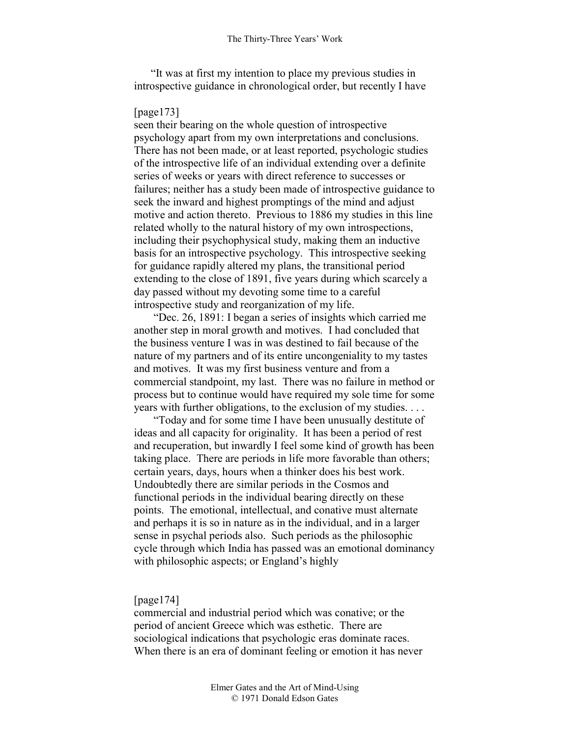"It was at first my intention to place my previous studies in introspective guidance in chronological order, but recently I have

## [page173]

seen their bearing on the whole question of introspective psychology apart from my own interpretations and conclusions. There has not been made, or at least reported, psychologic studies of the introspective life of an individual extending over a definite series of weeks or years with direct reference to successes or failures; neither has a study been made of introspective guidance to seek the inward and highest promptings of the mind and adjust motive and action thereto. Previous to 1886 my studies in this line related wholly to the natural history of my own introspections, including their psychophysical study, making them an inductive basis for an introspective psychology. This introspective seeking for guidance rapidly altered my plans, the transitional period extending to the close of 1891, five years during which scarcely a day passed without my devoting some time to a careful introspective study and reorganization of my life.

 "Dec. 26, 1891: I began a series of insights which carried me another step in moral growth and motives. I had concluded that the business venture I was in was destined to fail because of the nature of my partners and of its entire uncongeniality to my tastes and motives. It was my first business venture and from a commercial standpoint, my last. There was no failure in method or process but to continue would have required my sole time for some years with further obligations, to the exclusion of my studies. . . .

 "Today and for some time I have been unusually destitute of ideas and all capacity for originality. It has been a period of rest and recuperation, but inwardly I feel some kind of growth has been taking place. There are periods in life more favorable than others; certain years, days, hours when a thinker does his best work. Undoubtedly there are similar periods in the Cosmos and functional periods in the individual bearing directly on these points. The emotional, intellectual, and conative must alternate and perhaps it is so in nature as in the individual, and in a larger sense in psychal periods also. Such periods as the philosophic cycle through which India has passed was an emotional dominancy with philosophic aspects; or England's highly

### [page174]

commercial and industrial period which was conative; or the period of ancient Greece which was esthetic. There are sociological indications that psychologic eras dominate races. When there is an era of dominant feeling or emotion it has never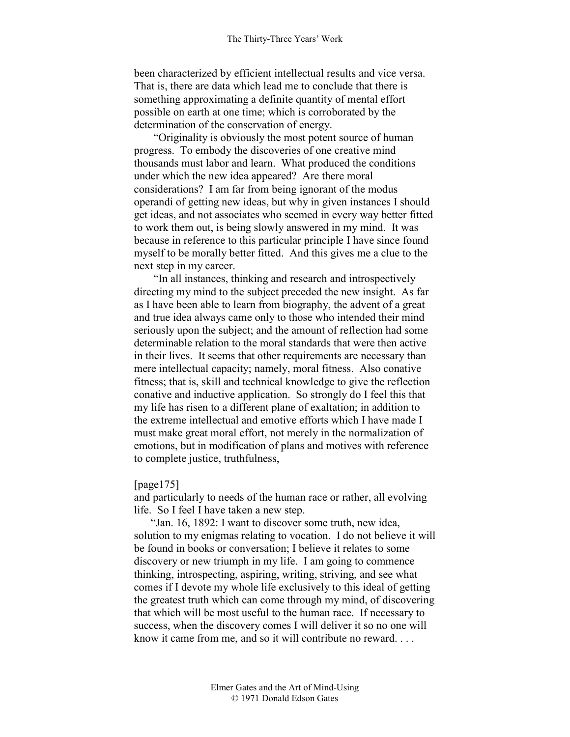been characterized by efficient intellectual results and vice versa. That is, there are data which lead me to conclude that there is something approximating a definite quantity of mental effort possible on earth at one time; which is corroborated by the determination of the conservation of energy.

 "Originality is obviously the most potent source of human progress. To embody the discoveries of one creative mind thousands must labor and learn. What produced the conditions under which the new idea appeared? Are there moral considerations? I am far from being ignorant of the modus operandi of getting new ideas, but why in given instances I should get ideas, and not associates who seemed in every way better fitted to work them out, is being slowly answered in my mind. It was because in reference to this particular principle I have since found myself to be morally better fitted. And this gives me a clue to the next step in my career.

 "In all instances, thinking and research and introspectively directing my mind to the subject preceded the new insight. As far as I have been able to learn from biography, the advent of a great and true idea always came only to those who intended their mind seriously upon the subject; and the amount of reflection had some determinable relation to the moral standards that were then active in their lives. It seems that other requirements are necessary than mere intellectual capacity; namely, moral fitness. Also conative fitness; that is, skill and technical knowledge to give the reflection conative and inductive application. So strongly do I feel this that my life has risen to a different plane of exaltation; in addition to the extreme intellectual and emotive efforts which I have made I must make great moral effort, not merely in the normalization of emotions, but in modification of plans and motives with reference to complete justice, truthfulness,

[page175]

and particularly to needs of the human race or rather, all evolving life. So I feel I have taken a new step.

"Jan. 16, 1892: I want to discover some truth, new idea, solution to my enigmas relating to vocation. I do not believe it will be found in books or conversation; I believe it relates to some discovery or new triumph in my life. I am going to commence thinking, introspecting, aspiring, writing, striving, and see what comes if I devote my whole life exclusively to this ideal of getting the greatest truth which can come through my mind, of discovering that which will be most useful to the human race. If necessary to success, when the discovery comes I will deliver it so no one will know it came from me, and so it will contribute no reward. . . .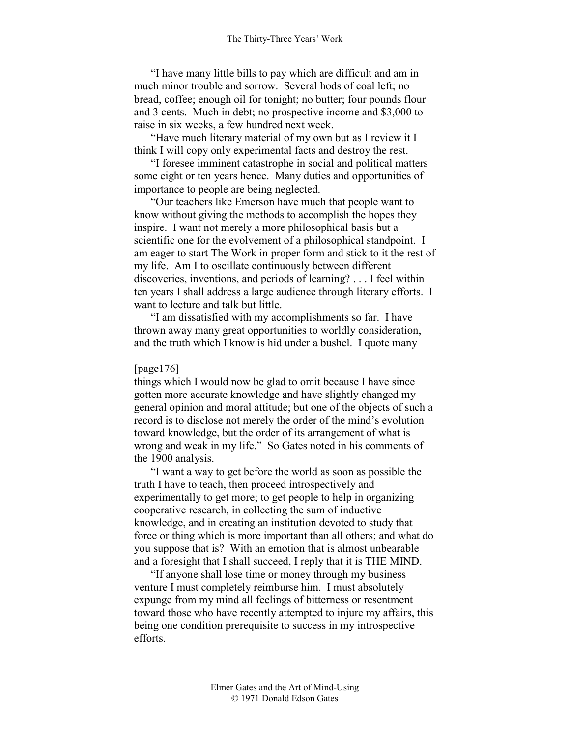"I have many little bills to pay which are difficult and am in much minor trouble and sorrow. Several hods of coal left; no bread, coffee; enough oil for tonight; no butter; four pounds flour and 3 cents. Much in debt; no prospective income and \$3,000 to raise in six weeks, a few hundred next week.

"Have much literary material of my own but as I review it I think I will copy only experimental facts and destroy the rest.

"I foresee imminent catastrophe in social and political matters some eight or ten years hence. Many duties and opportunities of importance to people are being neglected.

"Our teachers like Emerson have much that people want to know without giving the methods to accomplish the hopes they inspire. I want not merely a more philosophical basis but a scientific one for the evolvement of a philosophical standpoint. I am eager to start The Work in proper form and stick to it the rest of my life. Am I to oscillate continuously between different discoveries, inventions, and periods of learning? . . . I feel within ten years I shall address a large audience through literary efforts. I want to lecture and talk but little.

"I am dissatisfied with my accomplishments so far. I have thrown away many great opportunities to worldly consideration, and the truth which I know is hid under a bushel. I quote many

#### [page176]

things which I would now be glad to omit because I have since gotten more accurate knowledge and have slightly changed my general opinion and moral attitude; but one of the objects of such a record is to disclose not merely the order of the mind's evolution toward knowledge, but the order of its arrangement of what is wrong and weak in my life." So Gates noted in his comments of the 1900 analysis.

"I want a way to get before the world as soon as possible the truth I have to teach, then proceed introspectively and experimentally to get more; to get people to help in organizing cooperative research, in collecting the sum of inductive knowledge, and in creating an institution devoted to study that force or thing which is more important than all others; and what do you suppose that is? With an emotion that is almost unbearable and a foresight that I shall succeed, I reply that it is THE MIND.

"If anyone shall lose time or money through my business venture I must completely reimburse him. I must absolutely expunge from my mind all feelings of bitterness or resentment toward those who have recently attempted to injure my affairs, this being one condition prerequisite to success in my introspective efforts.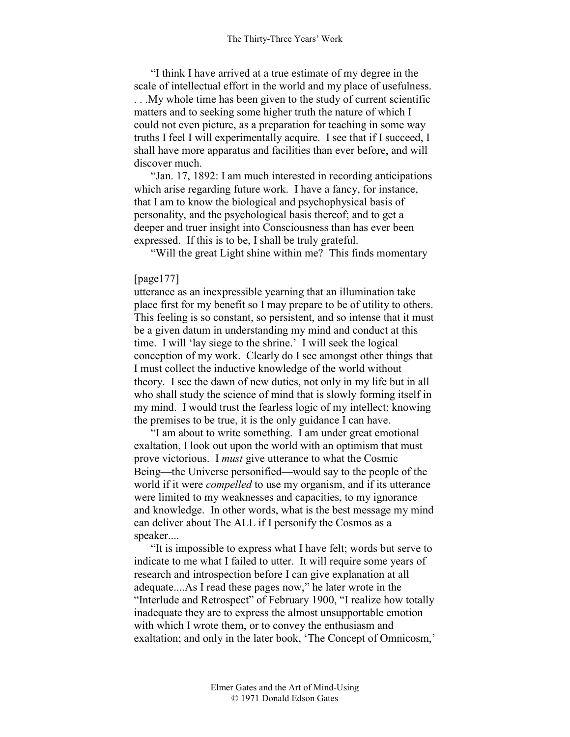"I think I have arrived at a true estimate of my degree in the scale of intellectual effort in the world and my place of usefulness. . . .My whole time has been given to the study of current scientific matters and to seeking some higher truth the nature of which I could not even picture, as a preparation for teaching in some way truths I feel I will experimentally acquire. I see that if I succeed, I shall have more apparatus and facilities than ever before, and will discover much.

"Jan. 17, 1892: I am much interested in recording anticipations which arise regarding future work. I have a fancy, for instance, that I am to know the biological and psychophysical basis of personality, and the psychological basis thereof; and to get a deeper and truer insight into Consciousness than has ever been expressed. If this is to be, I shall be truly grateful.

"Will the great Light shine within me? This finds momentary

#### [page177]

utterance as an inexpressible yearning that an illumination take place first for my benefit so I may prepare to be of utility to others. This feeling is so constant, so persistent, and so intense that it must be a given datum in understanding my mind and conduct at this time. I will 'lay siege to the shrine.' I will seek the logical conception of my work. Clearly do I see amongst other things that I must collect the inductive knowledge of the world without theory. I see the dawn of new duties, not only in my life but in all who shall study the science of mind that is slowly forming itself in my mind. I would trust the fearless logic of my intellect; knowing the premises to be true, it is the only guidance I can have.

"I am about to write something. I am under great emotional exaltation, I look out upon the world with an optimism that must prove victorious. I *must* give utterance to what the Cosmic Being—the Universe personified—would say to the people of the world if it were *compelled* to use my organism, and if its utterance were limited to my weaknesses and capacities, to my ignorance and knowledge. In other words, what is the best message my mind can deliver about The ALL if I personify the Cosmos as a speaker....

"It is impossible to express what I have felt; words but serve to indicate to me what I failed to utter. It will require some years of research and introspection before I can give explanation at all adequate....As I read these pages now," he later wrote in the "Interlude and Retrospect" of February 1900, "I realize how totally inadequate they are to express the almost unsupportable emotion with which I wrote them, or to convey the enthusiasm and exaltation; and only in the later book, 'The Concept of Omnicosm,'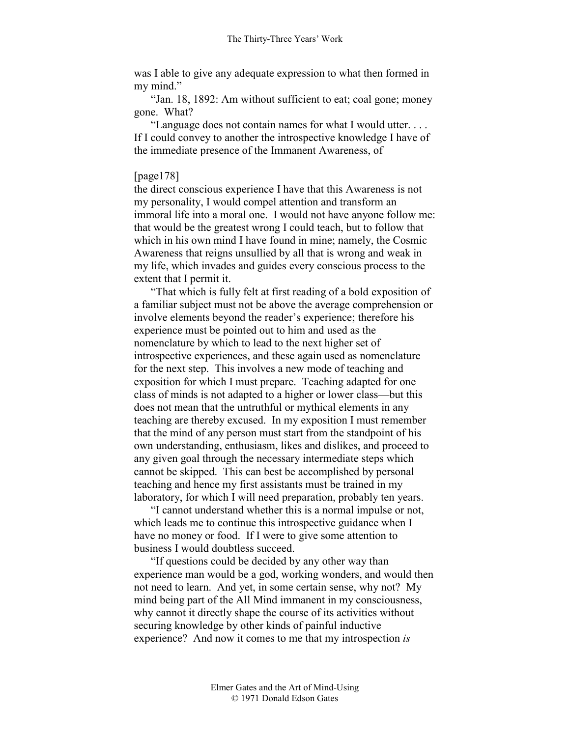was I able to give any adequate expression to what then formed in my mind."

"Jan. 18, 1892: Am without sufficient to eat; coal gone; money gone. What?

"Language does not contain names for what I would utter. . . . If I could convey to another the introspective knowledge I have of the immediate presence of the Immanent Awareness, of

#### [page178]

the direct conscious experience I have that this Awareness is not my personality, I would compel attention and transform an immoral life into a moral one. I would not have anyone follow me: that would be the greatest wrong I could teach, but to follow that which in his own mind I have found in mine; namely, the Cosmic Awareness that reigns unsullied by all that is wrong and weak in my life, which invades and guides every conscious process to the extent that I permit it.

"That which is fully felt at first reading of a bold exposition of a familiar subject must not be above the average comprehension or involve elements beyond the reader's experience; therefore his experience must be pointed out to him and used as the nomenclature by which to lead to the next higher set of introspective experiences, and these again used as nomenclature for the next step. This involves a new mode of teaching and exposition for which I must prepare. Teaching adapted for one class of minds is not adapted to a higher or lower class—but this does not mean that the untruthful or mythical elements in any teaching are thereby excused. In my exposition I must remember that the mind of any person must start from the standpoint of his own understanding, enthusiasm, likes and dislikes, and proceed to any given goal through the necessary intermediate steps which cannot be skipped. This can best be accomplished by personal teaching and hence my first assistants must be trained in my laboratory, for which I will need preparation, probably ten years.

"I cannot understand whether this is a normal impulse or not, which leads me to continue this introspective guidance when I have no money or food. If I were to give some attention to business I would doubtless succeed.

"If questions could be decided by any other way than experience man would be a god, working wonders, and would then not need to learn. And yet, in some certain sense, why not? My mind being part of the All Mind immanent in my consciousness, why cannot it directly shape the course of its activities without securing knowledge by other kinds of painful inductive experience? And now it comes to me that my introspection *is*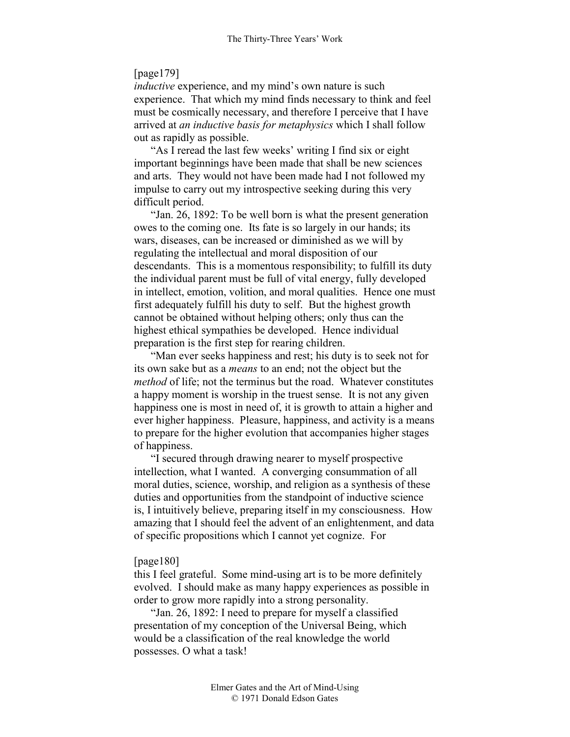## [page179]

*inductive* experience, and my mind's own nature is such experience. That which my mind finds necessary to think and feel must be cosmically necessary, and therefore I perceive that I have arrived at *an inductive basis for metaphysics* which I shall follow out as rapidly as possible.

"As I reread the last few weeks' writing I find six or eight important beginnings have been made that shall be new sciences and arts. They would not have been made had I not followed my impulse to carry out my introspective seeking during this very difficult period.

"Jan. 26, 1892: To be well born is what the present generation owes to the coming one. Its fate is so largely in our hands; its wars, diseases, can be increased or diminished as we will by regulating the intellectual and moral disposition of our descendants. This is a momentous responsibility; to fulfill its duty the individual parent must be full of vital energy, fully developed in intellect, emotion, volition, and moral qualities. Hence one must first adequately fulfill his duty to self. But the highest growth cannot be obtained without helping others; only thus can the highest ethical sympathies be developed. Hence individual preparation is the first step for rearing children.

"Man ever seeks happiness and rest; his duty is to seek not for its own sake but as a *means* to an end; not the object but the *method* of life; not the terminus but the road. Whatever constitutes a happy moment is worship in the truest sense. It is not any given happiness one is most in need of, it is growth to attain a higher and ever higher happiness. Pleasure, happiness, and activity is a means to prepare for the higher evolution that accompanies higher stages of happiness.

"I secured through drawing nearer to myself prospective intellection, what I wanted. A converging consummation of all moral duties, science, worship, and religion as a synthesis of these duties and opportunities from the standpoint of inductive science is, I intuitively believe, preparing itself in my consciousness. How amazing that I should feel the advent of an enlightenment, and data of specific propositions which I cannot yet cognize. For

#### [page180]

this I feel grateful. Some mind-using art is to be more definitely evolved. I should make as many happy experiences as possible in order to grow more rapidly into a strong personality.

"Jan. 26, 1892: I need to prepare for myself a classified presentation of my conception of the Universal Being, which would be a classification of the real knowledge the world possesses. O what a task!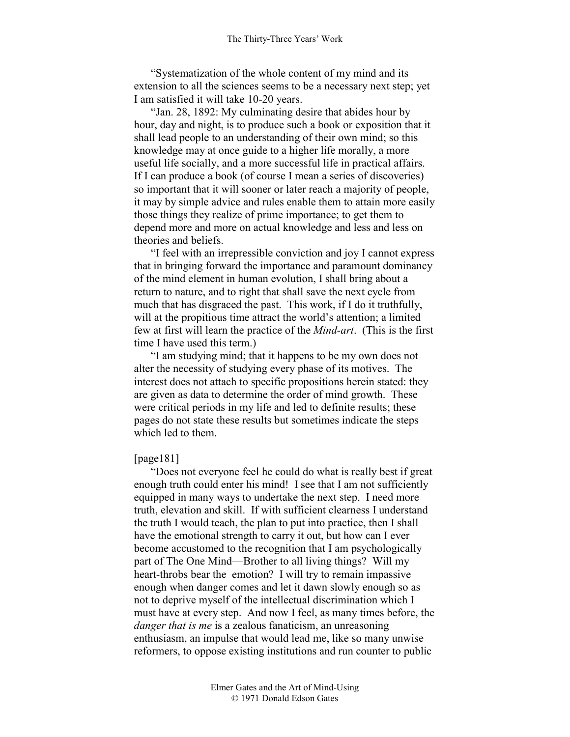"Systematization of the whole content of my mind and its extension to all the sciences seems to be a necessary next step; yet I am satisfied it will take 10-20 years.

"Jan. 28, 1892: My culminating desire that abides hour by hour, day and night, is to produce such a book or exposition that it shall lead people to an understanding of their own mind; so this knowledge may at once guide to a higher life morally, a more useful life socially, and a more successful life in practical affairs. If I can produce a book (of course I mean a series of discoveries) so important that it will sooner or later reach a majority of people, it may by simple advice and rules enable them to attain more easily those things they realize of prime importance; to get them to depend more and more on actual knowledge and less and less on theories and beliefs.

"I feel with an irrepressible conviction and joy I cannot express that in bringing forward the importance and paramount dominancy of the mind element in human evolution, I shall bring about a return to nature, and to right that shall save the next cycle from much that has disgraced the past. This work, if I do it truthfully, will at the propitious time attract the world's attention; a limited few at first will learn the practice of the *Mind-art*. (This is the first time I have used this term.)

"I am studying mind; that it happens to be my own does not alter the necessity of studying every phase of its motives. The interest does not attach to specific propositions herein stated: they are given as data to determine the order of mind growth. These were critical periods in my life and led to definite results; these pages do not state these results but sometimes indicate the steps which led to them.

#### [page181]

"Does not everyone feel he could do what is really best if great enough truth could enter his mind! I see that I am not sufficiently equipped in many ways to undertake the next step. I need more truth, elevation and skill. If with sufficient clearness I understand the truth I would teach, the plan to put into practice, then I shall have the emotional strength to carry it out, but how can I ever become accustomed to the recognition that I am psychologically part of The One Mind—Brother to all living things? Will my heart-throbs bear the emotion? I will try to remain impassive enough when danger comes and let it dawn slowly enough so as not to deprive myself of the intellectual discrimination which I must have at every step. And now I feel, as many times before, the *danger that is me* is a zealous fanaticism, an unreasoning enthusiasm, an impulse that would lead me, like so many unwise reformers, to oppose existing institutions and run counter to public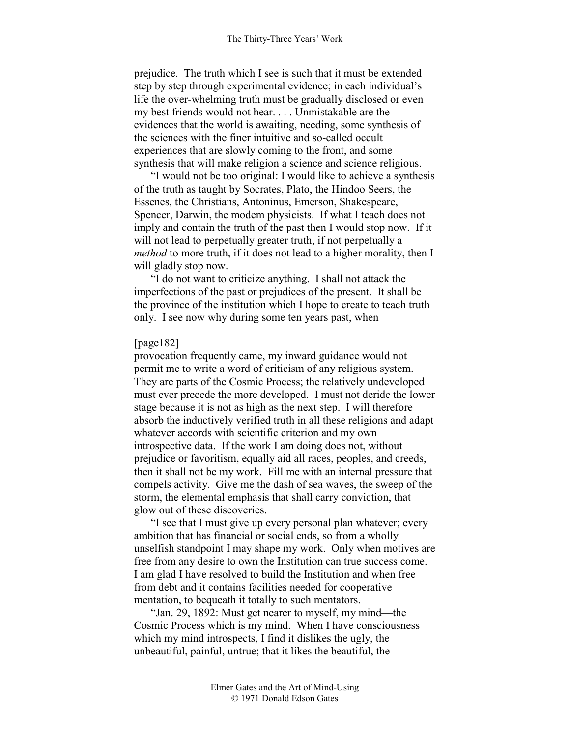prejudice. The truth which I see is such that it must be extended step by step through experimental evidence; in each individual's life the over-whelming truth must be gradually disclosed or even my best friends would not hear. . . . Unmistakable are the evidences that the world is awaiting, needing, some synthesis of the sciences with the finer intuitive and so-called occult experiences that are slowly coming to the front, and some synthesis that will make religion a science and science religious.

"I would not be too original: I would like to achieve a synthesis of the truth as taught by Socrates, Plato, the Hindoo Seers, the Essenes, the Christians, Antoninus, Emerson, Shakespeare, Spencer, Darwin, the modem physicists. If what I teach does not imply and contain the truth of the past then I would stop now. If it will not lead to perpetually greater truth, if not perpetually a *method* to more truth, if it does not lead to a higher morality, then I will gladly stop now.

"I do not want to criticize anything. I shall not attack the imperfections of the past or prejudices of the present. It shall be the province of the institution which I hope to create to teach truth only. I see now why during some ten years past, when

#### [page182]

provocation frequently came, my inward guidance would not permit me to write a word of criticism of any religious system. They are parts of the Cosmic Process; the relatively undeveloped must ever precede the more developed. I must not deride the lower stage because it is not as high as the next step. I will therefore absorb the inductively verified truth in all these religions and adapt whatever accords with scientific criterion and my own introspective data. If the work I am doing does not, without prejudice or favoritism, equally aid all races, peoples, and creeds, then it shall not be my work. Fill me with an internal pressure that compels activity. Give me the dash of sea waves, the sweep of the storm, the elemental emphasis that shall carry conviction, that glow out of these discoveries.

"I see that I must give up every personal plan whatever; every ambition that has financial or social ends, so from a wholly unselfish standpoint I may shape my work. Only when motives are free from any desire to own the Institution can true success come. I am glad I have resolved to build the Institution and when free from debt and it contains facilities needed for cooperative mentation, to bequeath it totally to such mentators.

"Jan. 29, 1892: Must get nearer to myself, my mind—the Cosmic Process which is my mind. When I have consciousness which my mind introspects, I find it dislikes the ugly, the unbeautiful, painful, untrue; that it likes the beautiful, the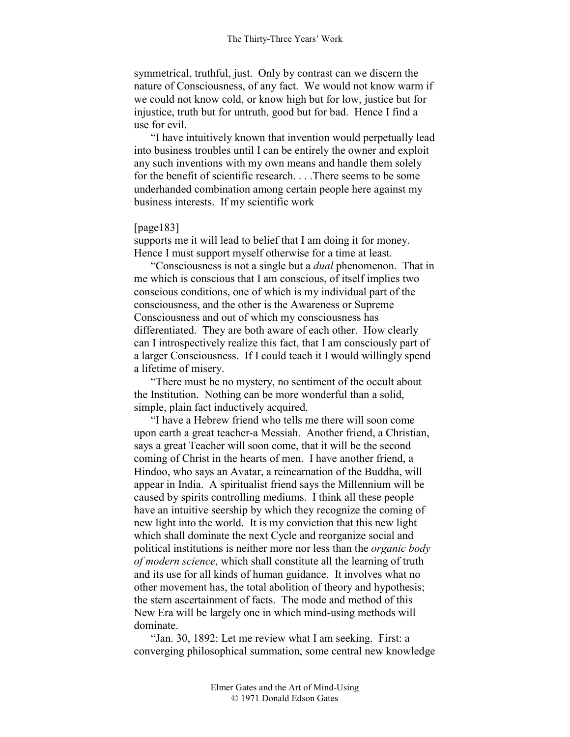symmetrical, truthful, just. Only by contrast can we discern the nature of Consciousness, of any fact. We would not know warm if we could not know cold, or know high but for low, justice but for injustice, truth but for untruth, good but for bad. Hence I find a use for evil.

"I have intuitively known that invention would perpetually lead into business troubles until I can be entirely the owner and exploit any such inventions with my own means and handle them solely for the benefit of scientific research. . . .There seems to be some underhanded combination among certain people here against my business interests. If my scientific work

## [page183]

supports me it will lead to belief that I am doing it for money. Hence I must support myself otherwise for a time at least.

"Consciousness is not a single but a *dual* phenomenon. That in me which is conscious that I am conscious, of itself implies two conscious conditions, one of which is my individual part of the consciousness, and the other is the Awareness or Supreme Consciousness and out of which my consciousness has differentiated. They are both aware of each other. How clearly can I introspectively realize this fact, that I am consciously part of a larger Consciousness. If I could teach it I would willingly spend a lifetime of misery.

"There must be no mystery, no sentiment of the occult about the Institution. Nothing can be more wonderful than a solid, simple, plain fact inductively acquired.

"I have a Hebrew friend who tells me there will soon come upon earth a great teacher-a Messiah. Another friend, a Christian, says a great Teacher will soon come, that it will be the second coming of Christ in the hearts of men. I have another friend, a Hindoo, who says an Avatar, a reincarnation of the Buddha, will appear in India. A spiritualist friend says the Millennium will be caused by spirits controlling mediums. I think all these people have an intuitive seership by which they recognize the coming of new light into the world. It is my conviction that this new light which shall dominate the next Cycle and reorganize social and political institutions is neither more nor less than the *organic body of modern science*, which shall constitute all the learning of truth and its use for all kinds of human guidance. It involves what no other movement has, the total abolition of theory and hypothesis; the stern ascertainment of facts. The mode and method of this New Era will be largely one in which mind-using methods will dominate.

"Jan. 30, 1892: Let me review what I am seeking. First: a converging philosophical summation, some central new knowledge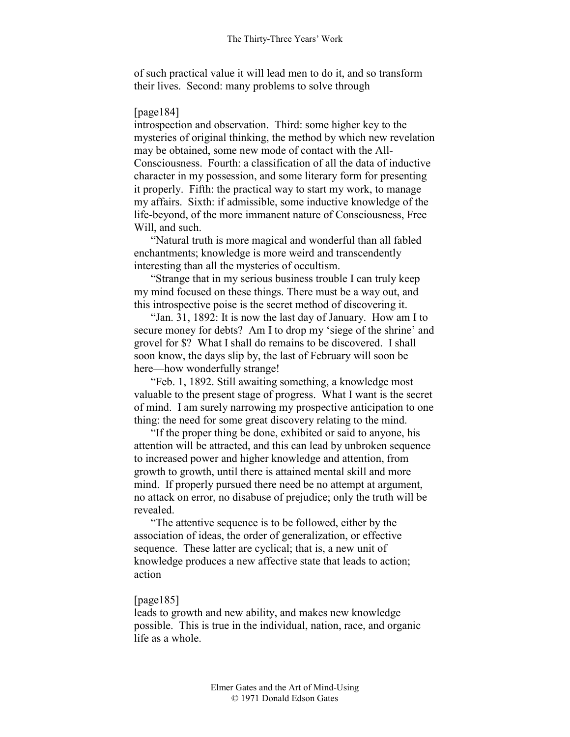of such practical value it will lead men to do it, and so transform their lives. Second: many problems to solve through

#### [page184]

introspection and observation. Third: some higher key to the mysteries of original thinking, the method by which new revelation may be obtained, some new mode of contact with the All-Consciousness. Fourth: a classification of all the data of inductive character in my possession, and some literary form for presenting it properly. Fifth: the practical way to start my work, to manage my affairs. Sixth: if admissible, some inductive knowledge of the life-beyond, of the more immanent nature of Consciousness, Free Will, and such.

"Natural truth is more magical and wonderful than all fabled enchantments; knowledge is more weird and transcendently interesting than all the mysteries of occultism.

"Strange that in my serious business trouble I can truly keep my mind focused on these things. There must be a way out, and this introspective poise is the secret method of discovering it.

"Jan. 31, 1892: It is now the last day of January. How am I to secure money for debts? Am I to drop my 'siege of the shrine' and grovel for \$? What I shall do remains to be discovered. I shall soon know, the days slip by, the last of February will soon be here—how wonderfully strange!

"Feb. 1, 1892. Still awaiting something, a knowledge most valuable to the present stage of progress. What I want is the secret of mind. I am surely narrowing my prospective anticipation to one thing: the need for some great discovery relating to the mind.

"If the proper thing be done, exhibited or said to anyone, his attention will be attracted, and this can lead by unbroken sequence to increased power and higher knowledge and attention, from growth to growth, until there is attained mental skill and more mind. If properly pursued there need be no attempt at argument, no attack on error, no disabuse of prejudice; only the truth will be revealed.

"The attentive sequence is to be followed, either by the association of ideas, the order of generalization, or effective sequence. These latter are cyclical; that is, a new unit of knowledge produces a new affective state that leads to action; action

## [page185]

leads to growth and new ability, and makes new knowledge possible. This is true in the individual, nation, race, and organic life as a whole.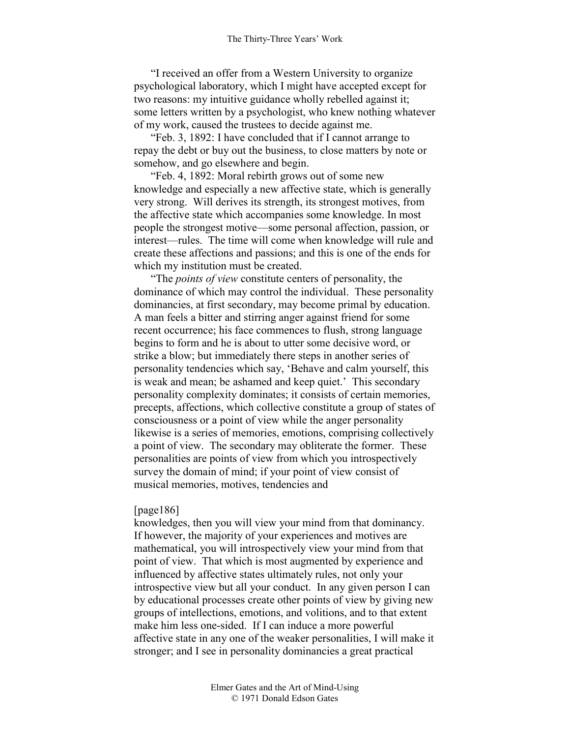"I received an offer from a Western University to organize psychological laboratory, which I might have accepted except for two reasons: my intuitive guidance wholly rebelled against it; some letters written by a psychologist, who knew nothing whatever of my work, caused the trustees to decide against me.

"Feb. 3, 1892: I have concluded that if I cannot arrange to repay the debt or buy out the business, to close matters by note or somehow, and go elsewhere and begin.

"Feb. 4, 1892: Moral rebirth grows out of some new knowledge and especially a new affective state, which is generally very strong. Will derives its strength, its strongest motives, from the affective state which accompanies some knowledge. In most people the strongest motive—some personal affection, passion, or interest—rules. The time will come when knowledge will rule and create these affections and passions; and this is one of the ends for which my institution must be created.

"The *points of view* constitute centers of personality, the dominance of which may control the individual. These personality dominancies, at first secondary, may become primal by education. A man feels a bitter and stirring anger against friend for some recent occurrence; his face commences to flush, strong language begins to form and he is about to utter some decisive word, or strike a blow; but immediately there steps in another series of personality tendencies which say, 'Behave and calm yourself, this is weak and mean; be ashamed and keep quiet.' This secondary personality complexity dominates; it consists of certain memories, precepts, affections, which collective constitute a group of states of consciousness or a point of view while the anger personality likewise is a series of memories, emotions, comprising collectively a point of view. The secondary may obliterate the former. These personalities are points of view from which you introspectively survey the domain of mind; if your point of view consist of musical memories, motives, tendencies and

#### [page186]

knowledges, then you will view your mind from that dominancy. If however, the majority of your experiences and motives are mathematical, you will introspectively view your mind from that point of view. That which is most augmented by experience and influenced by affective states ultimately rules, not only your introspective view but all your conduct. In any given person I can by educational processes create other points of view by giving new groups of intellections, emotions, and volitions, and to that extent make him less one-sided. If I can induce a more powerful affective state in any one of the weaker personalities, I will make it stronger; and I see in personality dominancies a great practical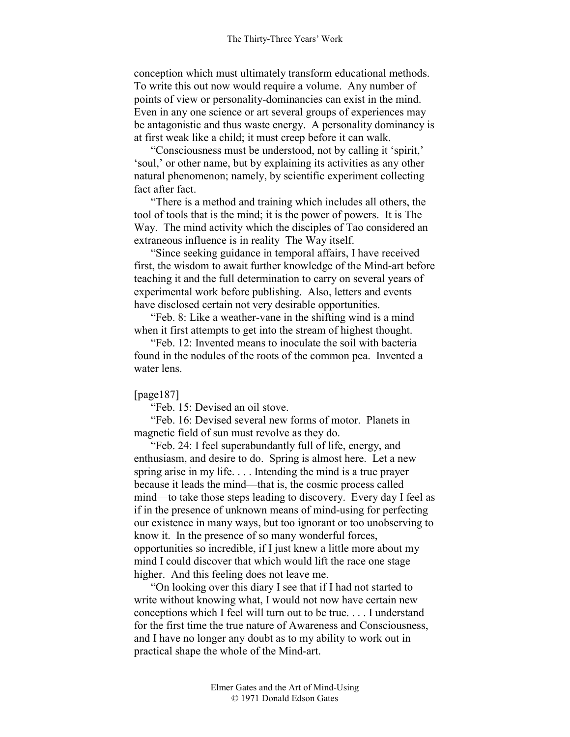conception which must ultimately transform educational methods. To write this out now would require a volume. Any number of points of view or personality-dominancies can exist in the mind. Even in any one science or art several groups of experiences may be antagonistic and thus waste energy. A personality dominancy is at first weak like a child; it must creep before it can walk.

"Consciousness must be understood, not by calling it 'spirit,' 'soul,' or other name, but by explaining its activities as any other natural phenomenon; namely, by scientific experiment collecting fact after fact.

"There is a method and training which includes all others, the tool of tools that is the mind; it is the power of powers. It is The Way. The mind activity which the disciples of Tao considered an extraneous influence is in reality The Way itself.

"Since seeking guidance in temporal affairs, I have received first, the wisdom to await further knowledge of the Mind-art before teaching it and the full determination to carry on several years of experimental work before publishing. Also, letters and events have disclosed certain not very desirable opportunities.

"Feb. 8: Like a weather-vane in the shifting wind is a mind when it first attempts to get into the stream of highest thought.

"Feb. 12: Invented means to inoculate the soil with bacteria found in the nodules of the roots of the common pea. Invented a water lens.

#### [page187]

"Feb. 15: Devised an oil stove.

"Feb. 16: Devised several new forms of motor. Planets in magnetic field of sun must revolve as they do.

"Feb. 24: I feel superabundantly full of life, energy, and enthusiasm, and desire to do. Spring is almost here. Let a new spring arise in my life. . . . Intending the mind is a true prayer because it leads the mind—that is, the cosmic process called mind—to take those steps leading to discovery. Every day I feel as if in the presence of unknown means of mind-using for perfecting our existence in many ways, but too ignorant or too unobserving to know it. In the presence of so many wonderful forces, opportunities so incredible, if I just knew a little more about my mind I could discover that which would lift the race one stage higher. And this feeling does not leave me.

"On looking over this diary I see that if I had not started to write without knowing what, I would not now have certain new conceptions which I feel will turn out to be true. . . . I understand for the first time the true nature of Awareness and Consciousness, and I have no longer any doubt as to my ability to work out in practical shape the whole of the Mind-art.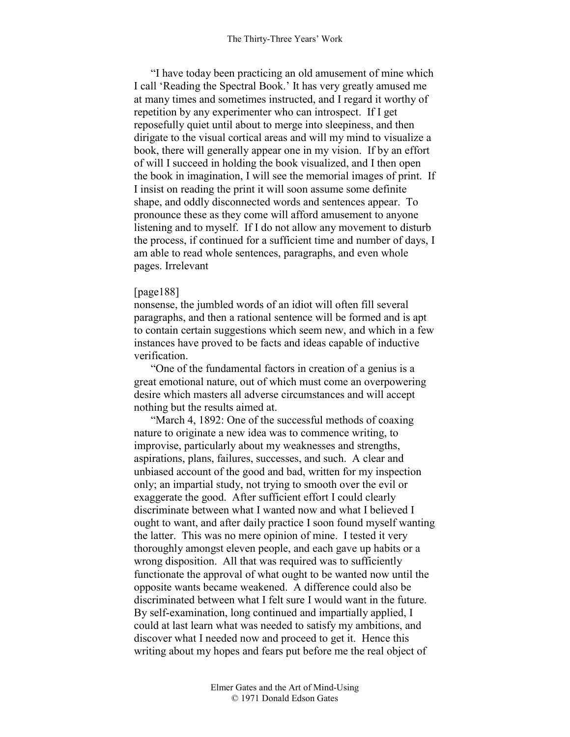"I have today been practicing an old amusement of mine which I call 'Reading the Spectral Book.' It has very greatly amused me at many times and sometimes instructed, and I regard it worthy of repetition by any experimenter who can introspect. If I get reposefully quiet until about to merge into sleepiness, and then dirigate to the visual cortical areas and will my mind to visualize a book, there will generally appear one in my vision. If by an effort of will I succeed in holding the book visualized, and I then open the book in imagination, I will see the memorial images of print. If I insist on reading the print it will soon assume some definite shape, and oddly disconnected words and sentences appear. To pronounce these as they come will afford amusement to anyone listening and to myself. If I do not allow any movement to disturb the process, if continued for a sufficient time and number of days, I am able to read whole sentences, paragraphs, and even whole pages. Irrelevant

#### [page188]

nonsense, the jumbled words of an idiot will often fill several paragraphs, and then a rational sentence will be formed and is apt to contain certain suggestions which seem new, and which in a few instances have proved to be facts and ideas capable of inductive verification.

"One of the fundamental factors in creation of a genius is a great emotional nature, out of which must come an overpowering desire which masters all adverse circumstances and will accept nothing but the results aimed at.

"March 4, 1892: One of the successful methods of coaxing nature to originate a new idea was to commence writing, to improvise, particularly about my weaknesses and strengths, aspirations, plans, failures, successes, and such. A clear and unbiased account of the good and bad, written for my inspection only; an impartial study, not trying to smooth over the evil or exaggerate the good. After sufficient effort I could clearly discriminate between what I wanted now and what I believed I ought to want, and after daily practice I soon found myself wanting the latter. This was no mere opinion of mine. I tested it very thoroughly amongst eleven people, and each gave up habits or a wrong disposition. All that was required was to sufficiently functionate the approval of what ought to be wanted now until the opposite wants became weakened. A difference could also be discriminated between what I felt sure I would want in the future. By self-examination, long continued and impartially applied, I could at last learn what was needed to satisfy my ambitions, and discover what I needed now and proceed to get it. Hence this writing about my hopes and fears put before me the real object of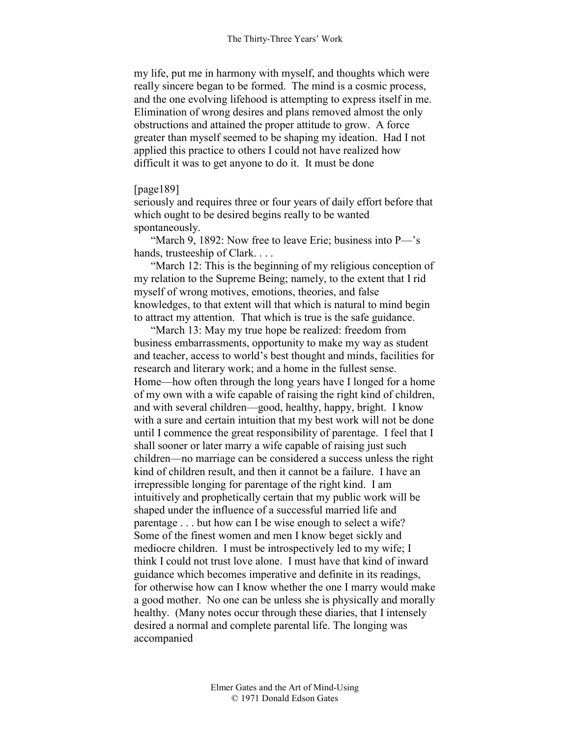my life, put me in harmony with myself, and thoughts which were really sincere began to be formed. The mind is a cosmic process, and the one evolving lifehood is attempting to express itself in me. Elimination of wrong desires and plans removed almost the only obstructions and attained the proper attitude to grow. A force greater than myself seemed to be shaping my ideation. Had I not applied this practice to others I could not have realized how difficult it was to get anyone to do it. It must be done

## [page189]

seriously and requires three or four years of daily effort before that which ought to be desired begins really to be wanted spontaneously.

"March 9, 1892: Now free to leave Erie; business into P—'s hands, trusteeship of Clark. . . .

"March 12: This is the beginning of my religious conception of my relation to the Supreme Being; namely, to the extent that I rid myself of wrong motives, emotions, theories, and false knowledges, to that extent will that which is natural to mind begin to attract my attention. That which is true is the safe guidance.

"March 13: May my true hope be realized: freedom from business embarrassments, opportunity to make my way as student and teacher, access to world's best thought and minds, facilities for research and literary work; and a home in the fullest sense. Home—how often through the long years have I longed for a home of my own with a wife capable of raising the right kind of children, and with several children—good, healthy, happy, bright. I know with a sure and certain intuition that my best work will not be done until I commence the great responsibility of parentage. I feel that I shall sooner or later marry a wife capable of raising just such children—no marriage can be considered a success unless the right kind of children result, and then it cannot be a failure. I have an irrepressible longing for parentage of the right kind. I am intuitively and prophetically certain that my public work will be shaped under the influence of a successful married life and parentage . . . but how can I be wise enough to select a wife? Some of the finest women and men I know beget sickly and mediocre children. I must be introspectively led to my wife; I think I could not trust love alone. I must have that kind of inward guidance which becomes imperative and definite in its readings, for otherwise how can I know whether the one I marry would make a good mother. No one can be unless she is physically and morally healthy. (Many notes occur through these diaries, that I intensely desired a normal and complete parental life. The longing was accompanied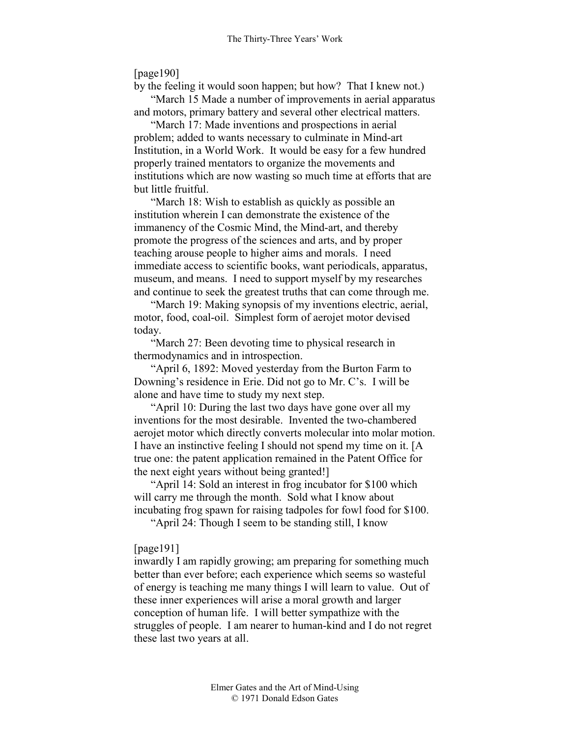[page190]

by the feeling it would soon happen; but how? That I knew not.)

"March 15 Made a number of improvements in aerial apparatus and motors, primary battery and several other electrical matters.

"March 17: Made inventions and prospections in aerial problem; added to wants necessary to culminate in Mind-art Institution, in a World Work. It would be easy for a few hundred properly trained mentators to organize the movements and institutions which are now wasting so much time at efforts that are but little fruitful.

"March 18: Wish to establish as quickly as possible an institution wherein I can demonstrate the existence of the immanency of the Cosmic Mind, the Mind-art, and thereby promote the progress of the sciences and arts, and by proper teaching arouse people to higher aims and morals. I need immediate access to scientific books, want periodicals, apparatus, museum, and means. I need to support myself by my researches and continue to seek the greatest truths that can come through me.

"March 19: Making synopsis of my inventions electric, aerial, motor, food, coal-oil. Simplest form of aerojet motor devised today.

"March 27: Been devoting time to physical research in thermodynamics and in introspection.

"April 6, 1892: Moved yesterday from the Burton Farm to Downing's residence in Erie. Did not go to Mr. C's. I will be alone and have time to study my next step.

"April 10: During the last two days have gone over all my inventions for the most desirable. Invented the two-chambered aerojet motor which directly converts molecular into molar motion. I have an instinctive feeling I should not spend my time on it. [A true one: the patent application remained in the Patent Office for the next eight years without being granted!]

"April 14: Sold an interest in frog incubator for \$100 which will carry me through the month. Sold what I know about incubating frog spawn for raising tadpoles for fowl food for \$100.

"April 24: Though I seem to be standing still, I know

## [page191]

inwardly I am rapidly growing; am preparing for something much better than ever before; each experience which seems so wasteful of energy is teaching me many things I will learn to value. Out of these inner experiences will arise a moral growth and larger conception of human life. I will better sympathize with the struggles of people. I am nearer to human-kind and I do not regret these last two years at all.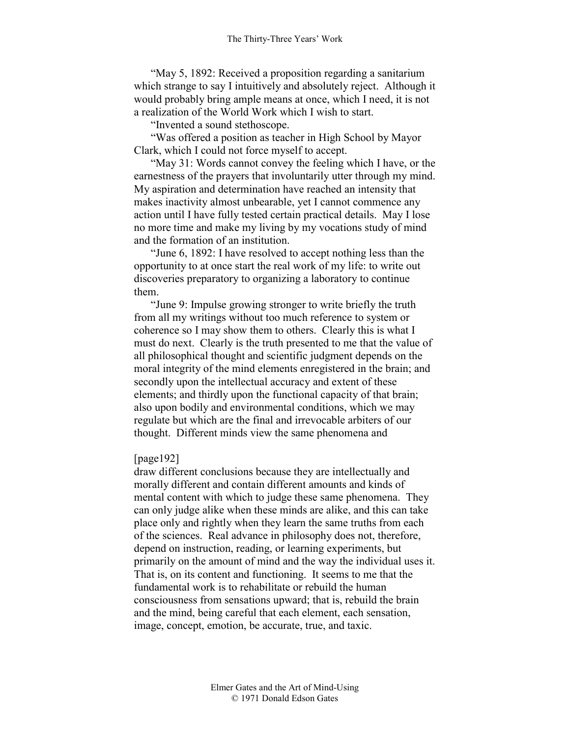"May 5, 1892: Received a proposition regarding a sanitarium which strange to say I intuitively and absolutely reject. Although it would probably bring ample means at once, which I need, it is not a realization of the World Work which I wish to start.

"Invented a sound stethoscope.

"Was offered a position as teacher in High School by Mayor Clark, which I could not force myself to accept.

"May 31: Words cannot convey the feeling which I have, or the earnestness of the prayers that involuntarily utter through my mind. My aspiration and determination have reached an intensity that makes inactivity almost unbearable, yet I cannot commence any action until I have fully tested certain practical details. May I lose no more time and make my living by my vocations study of mind and the formation of an institution.

"June 6, 1892: I have resolved to accept nothing less than the opportunity to at once start the real work of my life: to write out discoveries preparatory to organizing a laboratory to continue them.

"June 9: Impulse growing stronger to write briefly the truth from all my writings without too much reference to system or coherence so I may show them to others. Clearly this is what I must do next. Clearly is the truth presented to me that the value of all philosophical thought and scientific judgment depends on the moral integrity of the mind elements enregistered in the brain; and secondly upon the intellectual accuracy and extent of these elements; and thirdly upon the functional capacity of that brain; also upon bodily and environmental conditions, which we may regulate but which are the final and irrevocable arbiters of our thought. Different minds view the same phenomena and

#### [page192]

draw different conclusions because they are intellectually and morally different and contain different amounts and kinds of mental content with which to judge these same phenomena. They can only judge alike when these minds are alike, and this can take place only and rightly when they learn the same truths from each of the sciences. Real advance in philosophy does not, therefore, depend on instruction, reading, or learning experiments, but primarily on the amount of mind and the way the individual uses it. That is, on its content and functioning. It seems to me that the fundamental work is to rehabilitate or rebuild the human consciousness from sensations upward; that is, rebuild the brain and the mind, being careful that each element, each sensation, image, concept, emotion, be accurate, true, and taxic.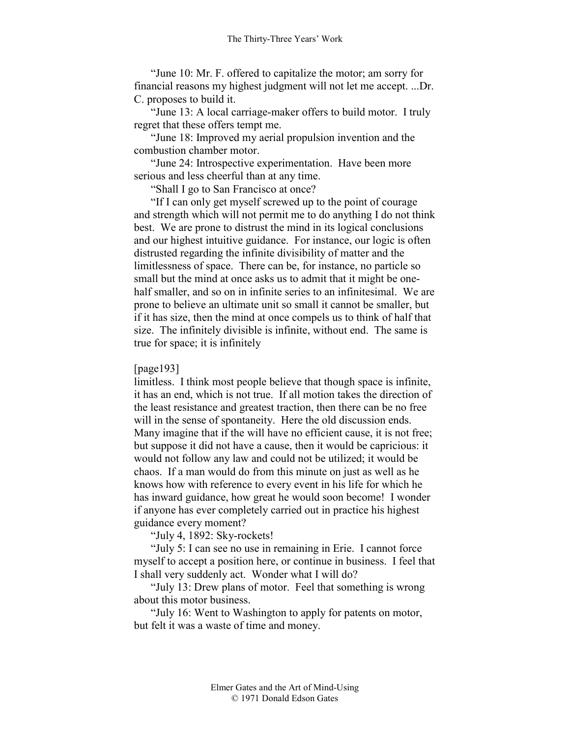"June 10: Mr. F. offered to capitalize the motor; am sorry for financial reasons my highest judgment will not let me accept. ...Dr. C. proposes to build it.

"June 13: A local carriage-maker offers to build motor. I truly regret that these offers tempt me.

"June 18: Improved my aerial propulsion invention and the combustion chamber motor.

"June 24: Introspective experimentation. Have been more serious and less cheerful than at any time.

"Shall I go to San Francisco at once?

"If I can only get myself screwed up to the point of courage and strength which will not permit me to do anything I do not think best. We are prone to distrust the mind in its logical conclusions and our highest intuitive guidance. For instance, our logic is often distrusted regarding the infinite divisibility of matter and the limitlessness of space. There can be, for instance, no particle so small but the mind at once asks us to admit that it might be onehalf smaller, and so on in infinite series to an infinitesimal. We are prone to believe an ultimate unit so small it cannot be smaller, but if it has size, then the mind at once compels us to think of half that size. The infinitely divisible is infinite, without end. The same is true for space; it is infinitely

#### [page193]

limitless. I think most people believe that though space is infinite, it has an end, which is not true. If all motion takes the direction of the least resistance and greatest traction, then there can be no free will in the sense of spontaneity. Here the old discussion ends. Many imagine that if the will have no efficient cause, it is not free; but suppose it did not have a cause, then it would be capricious: it would not follow any law and could not be utilized; it would be chaos. If a man would do from this minute on just as well as he knows how with reference to every event in his life for which he has inward guidance, how great he would soon become! I wonder if anyone has ever completely carried out in practice his highest guidance every moment?

"July 4, 1892: Sky-rockets!

"July 5: I can see no use in remaining in Erie. I cannot force myself to accept a position here, or continue in business. I feel that I shall very suddenly act. Wonder what I will do?

"July 13: Drew plans of motor. Feel that something is wrong about this motor business.

"July 16: Went to Washington to apply for patents on motor, but felt it was a waste of time and money.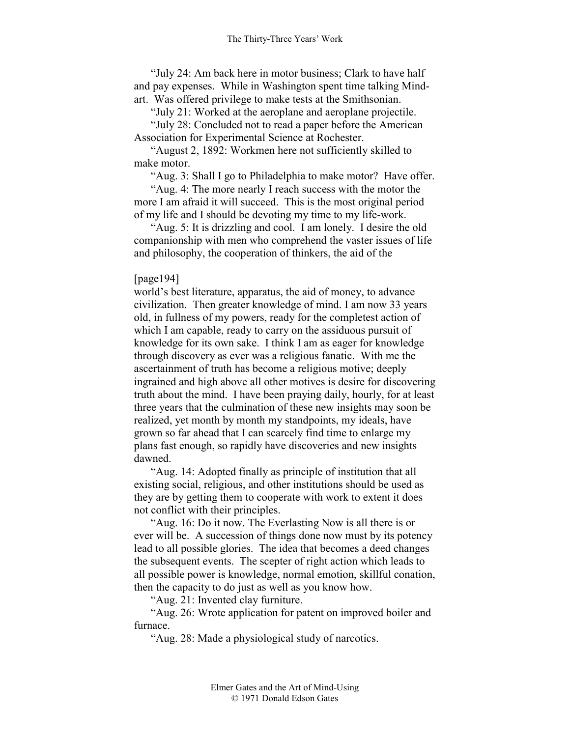"July 24: Am back here in motor business; Clark to have half and pay expenses. While in Washington spent time talking Mindart. Was offered privilege to make tests at the Smithsonian.

"July 21: Worked at the aeroplane and aeroplane projectile.

"July 28: Concluded not to read a paper before the American Association for Experimental Science at Rochester.

"August 2, 1892: Workmen here not sufficiently skilled to make motor.

"Aug. 3: Shall I go to Philadelphia to make motor? Have offer.

"Aug. 4: The more nearly I reach success with the motor the more I am afraid it will succeed. This is the most original period of my life and I should be devoting my time to my life-work.

"Aug. 5: It is drizzling and cool. I am lonely. I desire the old companionship with men who comprehend the vaster issues of life and philosophy, the cooperation of thinkers, the aid of the

#### [page194]

world's best literature, apparatus, the aid of money, to advance civilization. Then greater knowledge of mind. I am now 33 years old, in fullness of my powers, ready for the completest action of which I am capable, ready to carry on the assiduous pursuit of knowledge for its own sake. I think I am as eager for knowledge through discovery as ever was a religious fanatic. With me the ascertainment of truth has become a religious motive; deeply ingrained and high above all other motives is desire for discovering truth about the mind. I have been praying daily, hourly, for at least three years that the culmination of these new insights may soon be realized, yet month by month my standpoints, my ideals, have grown so far ahead that I can scarcely find time to enlarge my plans fast enough, so rapidly have discoveries and new insights dawned.

"Aug. 14: Adopted finally as principle of institution that all existing social, religious, and other institutions should be used as they are by getting them to cooperate with work to extent it does not conflict with their principles.

"Aug. 16: Do it now. The Everlasting Now is all there is or ever will be. A succession of things done now must by its potency lead to all possible glories. The idea that becomes a deed changes the subsequent events. The scepter of right action which leads to all possible power is knowledge, normal emotion, skillful conation, then the capacity to do just as well as you know how.

"Aug. 21: Invented clay furniture.

"Aug. 26: Wrote application for patent on improved boiler and furnace.

"Aug. 28: Made a physiological study of narcotics.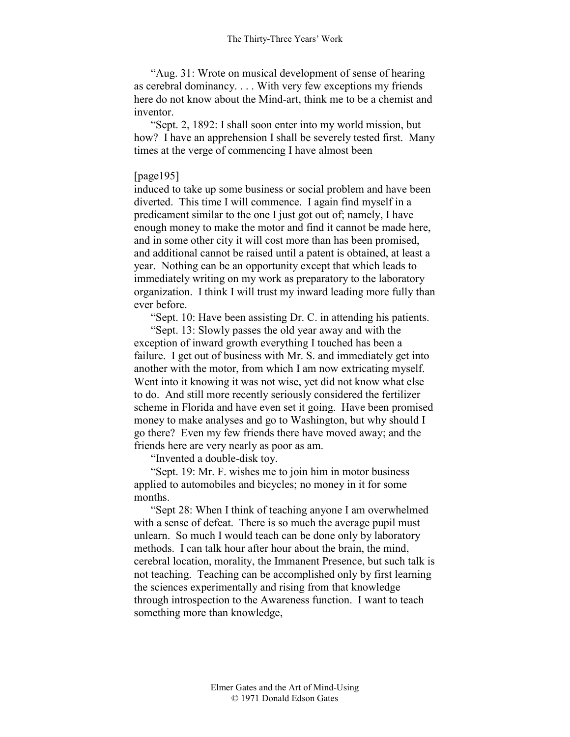"Aug. 31: Wrote on musical development of sense of hearing as cerebral dominancy. . . . With very few exceptions my friends here do not know about the Mind-art, think me to be a chemist and inventor.

"Sept. 2, 1892: I shall soon enter into my world mission, but how? I have an apprehension I shall be severely tested first. Many times at the verge of commencing I have almost been

## [page195]

induced to take up some business or social problem and have been diverted. This time I will commence. I again find myself in a predicament similar to the one I just got out of; namely, I have enough money to make the motor and find it cannot be made here, and in some other city it will cost more than has been promised, and additional cannot be raised until a patent is obtained, at least a year. Nothing can be an opportunity except that which leads to immediately writing on my work as preparatory to the laboratory organization. I think I will trust my inward leading more fully than ever before.

"Sept. 10: Have been assisting Dr. C. in attending his patients.

"Sept. 13: Slowly passes the old year away and with the exception of inward growth everything I touched has been a failure. I get out of business with Mr. S. and immediately get into another with the motor, from which I am now extricating myself. Went into it knowing it was not wise, yet did not know what else to do. And still more recently seriously considered the fertilizer scheme in Florida and have even set it going. Have been promised money to make analyses and go to Washington, but why should I go there? Even my few friends there have moved away; and the friends here are very nearly as poor as am.

"Invented a double-disk toy.

"Sept. 19: Mr. F. wishes me to join him in motor business applied to automobiles and bicycles; no money in it for some months.

"Sept 28: When I think of teaching anyone I am overwhelmed with a sense of defeat. There is so much the average pupil must unlearn. So much I would teach can be done only by laboratory methods. I can talk hour after hour about the brain, the mind, cerebral location, morality, the Immanent Presence, but such talk is not teaching. Teaching can be accomplished only by first learning the sciences experimentally and rising from that knowledge through introspection to the Awareness function. I want to teach something more than knowledge,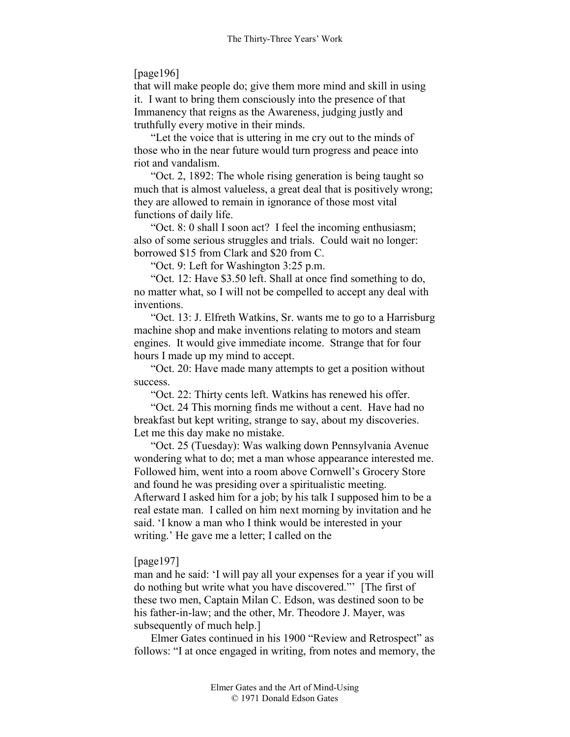# [page196]

that will make people do; give them more mind and skill in using it. I want to bring them consciously into the presence of that Immanency that reigns as the Awareness, judging justly and truthfully every motive in their minds.

"Let the voice that is uttering in me cry out to the minds of those who in the near future would turn progress and peace into riot and vandalism.

"Oct. 2, 1892: The whole rising generation is being taught so much that is almost valueless, a great deal that is positively wrong; they are allowed to remain in ignorance of those most vital functions of daily life.

"Oct. 8: 0 shall I soon act? I feel the incoming enthusiasm; also of some serious struggles and trials. Could wait no longer: borrowed \$15 from Clark and \$20 from C.

"Oct. 9: Left for Washington 3:25 p.m.

"Oct. 12: Have \$3.50 left. Shall at once find something to do, no matter what, so I will not be compelled to accept any deal with inventions.

"Oct. 13: J. Elfreth Watkins, Sr. wants me to go to a Harrisburg machine shop and make inventions relating to motors and steam engines. It would give immediate income. Strange that for four hours I made up my mind to accept.

"Oct. 20: Have made many attempts to get a position without success.

"Oct. 22: Thirty cents left. Watkins has renewed his offer.

"Oct. 24 This morning finds me without a cent. Have had no breakfast but kept writing, strange to say, about my discoveries. Let me this day make no mistake.

"Oct. 25 (Tuesday): Was walking down Pennsylvania Avenue wondering what to do; met a man whose appearance interested me. Followed him, went into a room above Cornwell's Grocery Store and found he was presiding over a spiritualistic meeting.

Afterward I asked him for a job; by his talk I supposed him to be a real estate man. I called on him next morning by invitation and he said. 'I know a man who I think would be interested in your writing.' He gave me a letter; I called on the

# [page197]

man and he said: 'I will pay all your expenses for a year if you will do nothing but write what you have discovered."' [The first of these two men, Captain Milan C. Edson, was destined soon to be his father-in-law; and the other, Mr. Theodore J. Mayer, was subsequently of much help.]

Elmer Gates continued in his 1900 "Review and Retrospect" as follows: "I at once engaged in writing, from notes and memory, the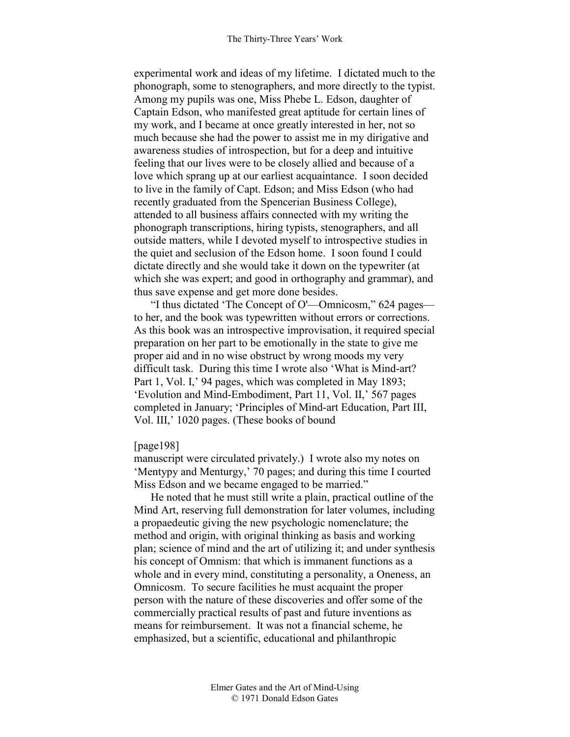experimental work and ideas of my lifetime. I dictated much to the phonograph, some to stenographers, and more directly to the typist. Among my pupils was one, Miss Phebe L. Edson, daughter of Captain Edson, who manifested great aptitude for certain lines of my work, and I became at once greatly interested in her, not so much because she had the power to assist me in my dirigative and awareness studies of introspection, but for a deep and intuitive feeling that our lives were to be closely allied and because of a love which sprang up at our earliest acquaintance. I soon decided to live in the family of Capt. Edson; and Miss Edson (who had recently graduated from the Spencerian Business College), attended to all business affairs connected with my writing the phonograph transcriptions, hiring typists, stenographers, and all outside matters, while I devoted myself to introspective studies in the quiet and seclusion of the Edson home. I soon found I could dictate directly and she would take it down on the typewriter (at which she was expert; and good in orthography and grammar), and thus save expense and get more done besides.

"I thus dictated 'The Concept of O'—Omnicosm," 624 pages to her, and the book was typewritten without errors or corrections. As this book was an introspective improvisation, it required special preparation on her part to be emotionally in the state to give me proper aid and in no wise obstruct by wrong moods my very difficult task. During this time I wrote also 'What is Mind-art? Part 1, Vol. I,' 94 pages, which was completed in May 1893; 'Evolution and Mind-Embodiment, Part 11, Vol. II,' 567 pages completed in January; 'Principles of Mind-art Education, Part III, Vol. III,' 1020 pages. (These books of bound

## [page198]

manuscript were circulated privately.) I wrote also my notes on 'Mentypy and Menturgy,' 70 pages; and during this time I courted Miss Edson and we became engaged to be married."

He noted that he must still write a plain, practical outline of the Mind Art, reserving full demonstration for later volumes, including a propaedeutic giving the new psychologic nomenclature; the method and origin, with original thinking as basis and working plan; science of mind and the art of utilizing it; and under synthesis his concept of Omnism: that which is immanent functions as a whole and in every mind, constituting a personality, a Oneness, an Omnicosm. To secure facilities he must acquaint the proper person with the nature of these discoveries and offer some of the commercially practical results of past and future inventions as means for reimbursement. It was not a financial scheme, he emphasized, but a scientific, educational and philanthropic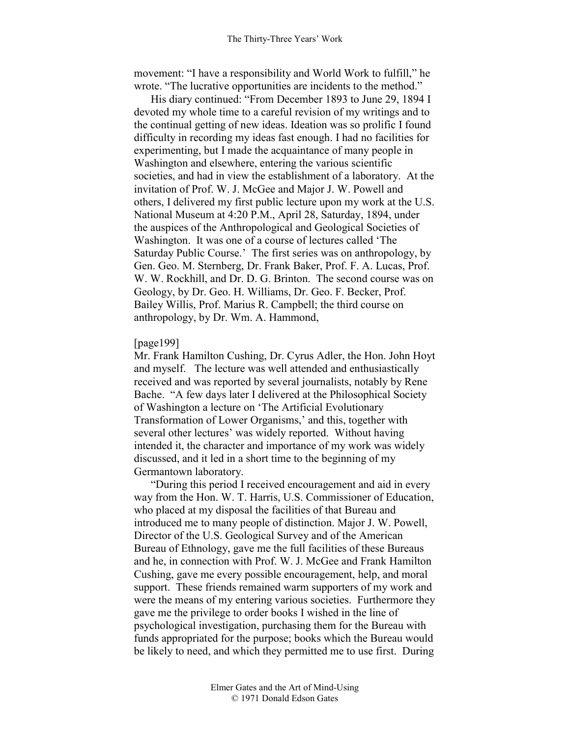movement: "I have a responsibility and World Work to fulfill," he wrote. "The lucrative opportunities are incidents to the method."

His diary continued: "From December 1893 to June 29, 1894 I devoted my whole time to a careful revision of my writings and to the continual getting of new ideas. Ideation was so prolific I found difficulty in recording my ideas fast enough. I had no facilities for experimenting, but I made the acquaintance of many people in Washington and elsewhere, entering the various scientific societies, and had in view the establishment of a laboratory. At the invitation of Prof. W. J. McGee and Major J. W. Powell and others, I delivered my first public lecture upon my work at the U.S. National Museum at 4:20 P.M., April 28, Saturday, 1894, under the auspices of the Anthropological and Geological Societies of Washington. It was one of a course of lectures called 'The Saturday Public Course.' The first series was on anthropology, by Gen. Geo. M. Sternberg, Dr. Frank Baker, Prof. F. A. Lucas, Prof. W. W. Rockhill, and Dr. D. G. Brinton. The second course was on Geology, by Dr. Geo. H. Williams, Dr. Geo. F. Becker, Prof. Bailey Willis, Prof. Marius R. Campbell; the third course on anthropology, by Dr. Wm. A. Hammond,

#### [page199]

Mr. Frank Hamilton Cushing, Dr. Cyrus Adler, the Hon. John Hoyt and myself. The lecture was well attended and enthusiastically received and was reported by several journalists, notably by Rene Bache. "A few days later I delivered at the Philosophical Society of Washington a lecture on 'The Artificial Evolutionary Transformation of Lower Organisms,' and this, together with several other lectures' was widely reported. Without having intended it, the character and importance of my work was widely discussed, and it led in a short time to the beginning of my Germantown laboratory.

"During this period I received encouragement and aid in every way from the Hon. W. T. Harris, U.S. Commissioner of Education, who placed at my disposal the facilities of that Bureau and introduced me to many people of distinction. Major J. W. Powell, Director of the U.S. Geological Survey and of the American Bureau of Ethnology, gave me the full facilities of these Bureaus and he, in connection with Prof. W. J. McGee and Frank Hamilton Cushing, gave me every possible encouragement, help, and moral support. These friends remained warm supporters of my work and were the means of my entering various societies. Furthermore they gave me the privilege to order books I wished in the line of psychological investigation, purchasing them for the Bureau with funds appropriated for the purpose; books which the Bureau would be likely to need, and which they permitted me to use first. During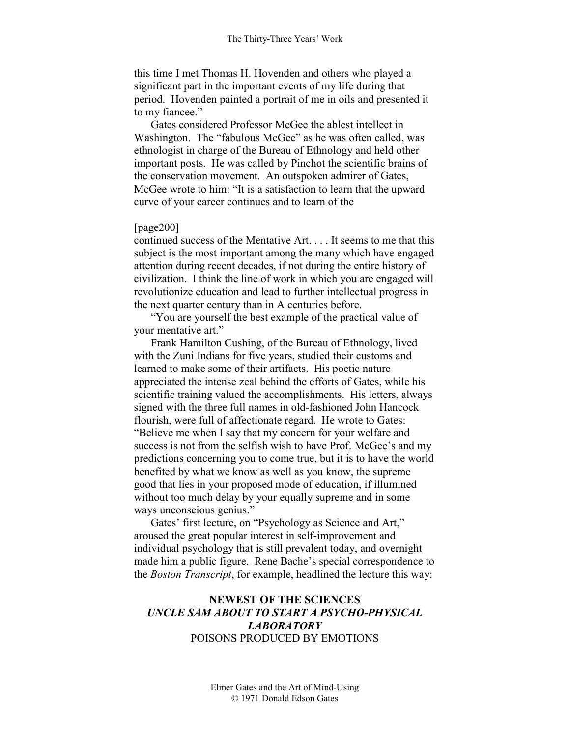this time I met Thomas H. Hovenden and others who played a significant part in the important events of my life during that period. Hovenden painted a portrait of me in oils and presented it to my fiancee."

Gates considered Professor McGee the ablest intellect in Washington. The "fabulous McGee" as he was often called, was ethnologist in charge of the Bureau of Ethnology and held other important posts. He was called by Pinchot the scientific brains of the conservation movement. An outspoken admirer of Gates, McGee wrote to him: "It is a satisfaction to learn that the upward curve of your career continues and to learn of the

## [page200]

continued success of the Mentative Art. . . . It seems to me that this subject is the most important among the many which have engaged attention during recent decades, if not during the entire history of civilization. I think the line of work in which you are engaged will revolutionize education and lead to further intellectual progress in the next quarter century than in A centuries before.

"You are yourself the best example of the practical value of your mentative art."

Frank Hamilton Cushing, of the Bureau of Ethnology, lived with the Zuni Indians for five years, studied their customs and learned to make some of their artifacts. His poetic nature appreciated the intense zeal behind the efforts of Gates, while his scientific training valued the accomplishments. His letters, always signed with the three full names in old-fashioned John Hancock flourish, were full of affectionate regard. He wrote to Gates: "Believe me when I say that my concern for your welfare and success is not from the selfish wish to have Prof. McGee's and my predictions concerning you to come true, but it is to have the world benefited by what we know as well as you know, the supreme good that lies in your proposed mode of education, if illumined without too much delay by your equally supreme and in some ways unconscious genius."

Gates' first lecture, on "Psychology as Science and Art," aroused the great popular interest in self-improvement and individual psychology that is still prevalent today, and overnight made him a public figure. Rene Bache's special correspondence to the *Boston Transcript*, for example, headlined the lecture this way:

## **NEWEST OF THE SCIENCES**  *UNCLE SAM ABOUT TO START A PSYCHO-PHYSICAL LABORATORY*  POISONS PRODUCED BY EMOTIONS